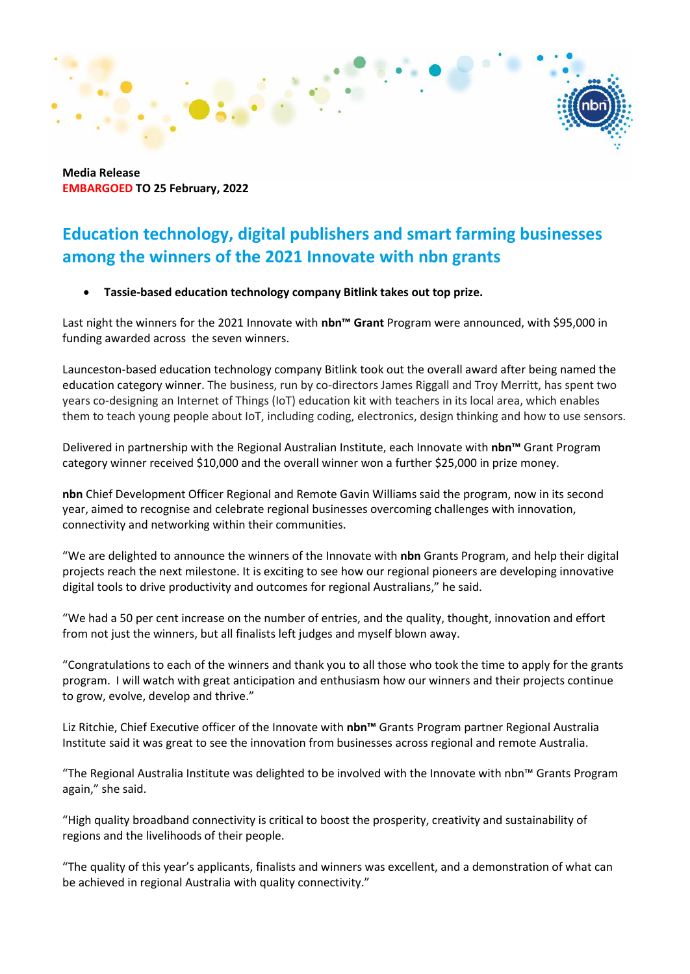**Media Release EMBARGOED TO 25 February, 2022**

## **Education technology, digital publishers and smart farming businesses among the winners of the 2021 Innovate with nbn grants**

#### • **Tassie-based education technology company Bitlink takes out top prize.**

Last night the winners for the 2021 Innovate with **nbn™ Grant** Program were announced, with \$95,000 in funding awarded across the seven winners.

Launceston-based education technology company Bitlink took out the overall award after being named the education category winner. The business, run by co-directors James Riggall and Troy Merritt, has spent two years co-designing an Internet of Things (IoT) education kit with teachers in its local area, which enables them to teach young people about IoT, including coding, electronics, design thinking and how to use sensors.

Delivered in partnership with the Regional Australian Institute, each Innovate with **nbn™** Grant Program category winner received \$10,000 and the overall winner won a further \$25,000 in prize money.  

**nbn** Chief Development Officer Regional and Remote Gavin Williams said the program, now in its second year, aimed to recognise and celebrate regional businesses overcoming challenges with innovation, connectivity and networking within their communities. 

"We are delighted to announce the winners of the Innovate with **nbn** Grants Program, and help their digital projects reach the next milestone. It is exciting to see how our regional pioneers are developing innovative digital tools to drive productivity and outcomes for regional Australians," he said.

"We had a 50 per cent increase on the number of entries, and the quality, thought, innovation and effort from not just the winners, but all finalists left judges and myself blown away. 

"Congratulations to each of the winners and thank you to all those who took the time to apply for the grants program.  I will watch with great anticipation and enthusiasm how our winners and their projects continue to grow, evolve, develop and thrive."

Liz Ritchie, Chief Executive officer of the Innovate with **nbn™** Grants Program partner Regional Australia Institute said it was great to see the innovation from businesses across regional and remote Australia.   

"The Regional Australia Institute was delighted to be involved with the Innovate with nbn™ Grants Program again," she said.

"High quality broadband connectivity is critical to boost the prosperity, creativity and sustainability of regions and the livelihoods of their people. 

"The quality of this year's applicants, finalists and winners was excellent, and a demonstration of what can be achieved in regional Australia with quality connectivity."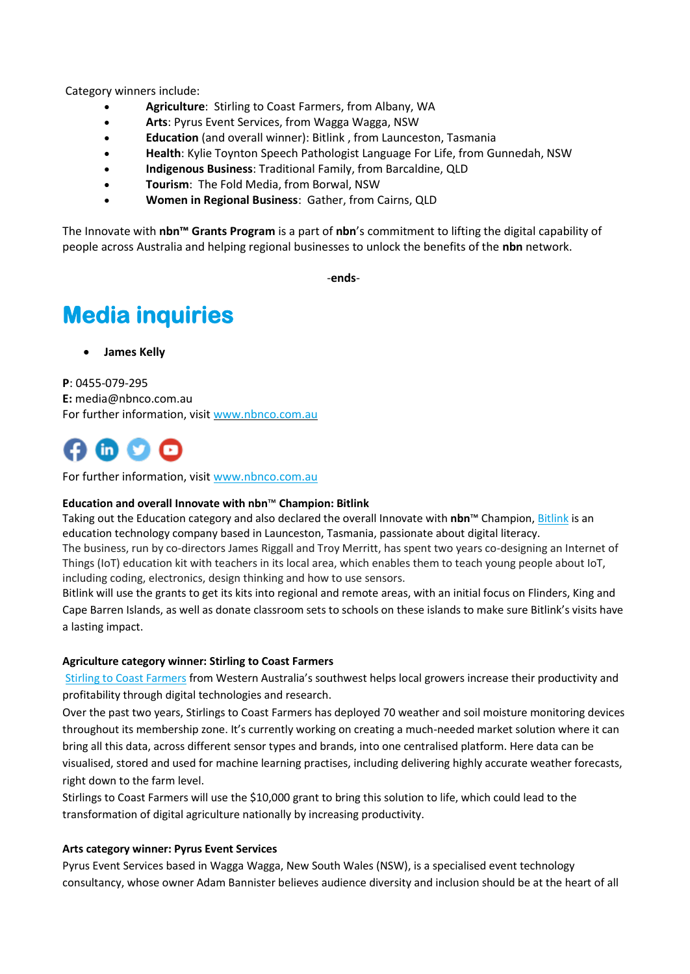Category winners include: 

- **Agriculture**:  Stirling to Coast Farmers, from Albany, WA
- **Arts**: Pyrus Event Services, from Wagga Wagga, NSW
- **Education** (and overall winner): Bitlink , from Launceston, Tasmania
- **Health**: Kylie Toynton Speech Pathologist Language For Life, from Gunnedah, NSW
- **Indigenous Business**: Traditional Family, from Barcaldine, QLD
- **Tourism**:  The Fold Media, from Borwal, NSW
- **Women in Regional Business**:  Gather, from Cairns, QLD

The Innovate with **nbn™ Grants Program** is a part of **nbn**'s commitment to lifting the digital capability of people across Australia and helping regional businesses to unlock the benefits of the **nbn** network. 

-**ends**-

# **Media inquiries**

• **James Kelly** 

**P**: 0455-079-295 **E:** media@nbnco.com.au For further information, visit [www.nbnco.com.au](http://www.nbnco.com.au/)

For further information, visit [www.nbnco.com.au](http://www.nbnco.com.au/)

#### **Education and overall Innovate with nbn**™ **Champion: Bitlink**

Taking out the Education category and also declared the overall Innovate with **nbn**™ Champion, [Bitlink](https://bitlink.com.au/) is an education technology company based in Launceston, Tasmania, passionate about digital literacy. The business, run by co-directors James Riggall and Troy Merritt, has spent two years co-designing an Internet of Things (IoT) education kit with teachers in its local area, which enables them to teach young people about IoT, including coding, electronics, design thinking and how to use sensors.

Bitlink will use the grants to get its kits into regional and remote areas, with an initial focus on Flinders, King and Cape Barren Islands, as well as donate classroom sets to schools on these islands to make sure Bitlink's visits have a lasting impact.

#### **Agriculture category winner: Stirling to Coast Farmers**

Stirling [to Coast Farmers](https://www.scfarmers.org.au/) from Western Australia's southwest helps local growers increase their productivity and profitability through digital technologies and research.

Over the past two years, Stirlings to Coast Farmers has deployed 70 weather and soil moisture monitoring devices throughout its membership zone. It's currently working on creating a much-needed market solution where it can bring all this data, across different sensor types and brands, into one centralised platform. Here data can be visualised, stored and used for machine learning practises, including delivering highly accurate weather forecasts, right down to the farm level.

Stirlings to Coast Farmers will use the \$10,000 grant to bring this solution to life, which could lead to the transformation of digital agriculture nationally by increasing productivity.

#### **Arts category winner: Pyrus Event Services**

Pyrus Event Services based in Wagga Wagga, New South Wales (NSW), is a specialised event technology consultancy, whose owner Adam Bannister believes audience diversity and inclusion should be at the heart of all